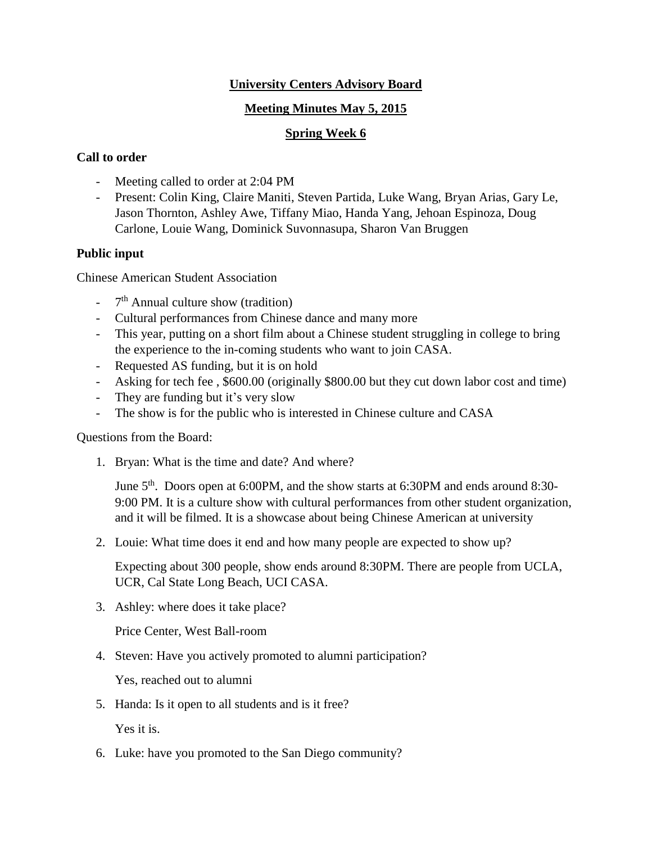# **University Centers Advisory Board**

### **Meeting Minutes May 5, 2015**

# **Spring Week 6**

### **Call to order**

- Meeting called to order at 2:04 PM
- Present: Colin King, Claire Maniti, Steven Partida, Luke Wang, Bryan Arias, Gary Le, Jason Thornton, Ashley Awe, Tiffany Miao, Handa Yang, Jehoan Espinoza, Doug Carlone, Louie Wang, Dominick Suvonnasupa, Sharon Van Bruggen

## **Public input**

Chinese American Student Association

- 7<sup>th</sup> Annual culture show (tradition)
- Cultural performances from Chinese dance and many more
- This year, putting on a short film about a Chinese student struggling in college to bring the experience to the in-coming students who want to join CASA.
- Requested AS funding, but it is on hold
- Asking for tech fee , \$600.00 (originally \$800.00 but they cut down labor cost and time)
- They are funding but it's very slow
- The show is for the public who is interested in Chinese culture and CASA

Questions from the Board:

1. Bryan: What is the time and date? And where?

June 5<sup>th</sup>. Doors open at 6:00PM, and the show starts at 6:30PM and ends around 8:30-9:00 PM. It is a culture show with cultural performances from other student organization, and it will be filmed. It is a showcase about being Chinese American at university

2. Louie: What time does it end and how many people are expected to show up?

Expecting about 300 people, show ends around 8:30PM. There are people from UCLA, UCR, Cal State Long Beach, UCI CASA.

3. Ashley: where does it take place?

Price Center, West Ball-room

4. Steven: Have you actively promoted to alumni participation?

Yes, reached out to alumni

5. Handa: Is it open to all students and is it free?

Yes it is.

6. Luke: have you promoted to the San Diego community?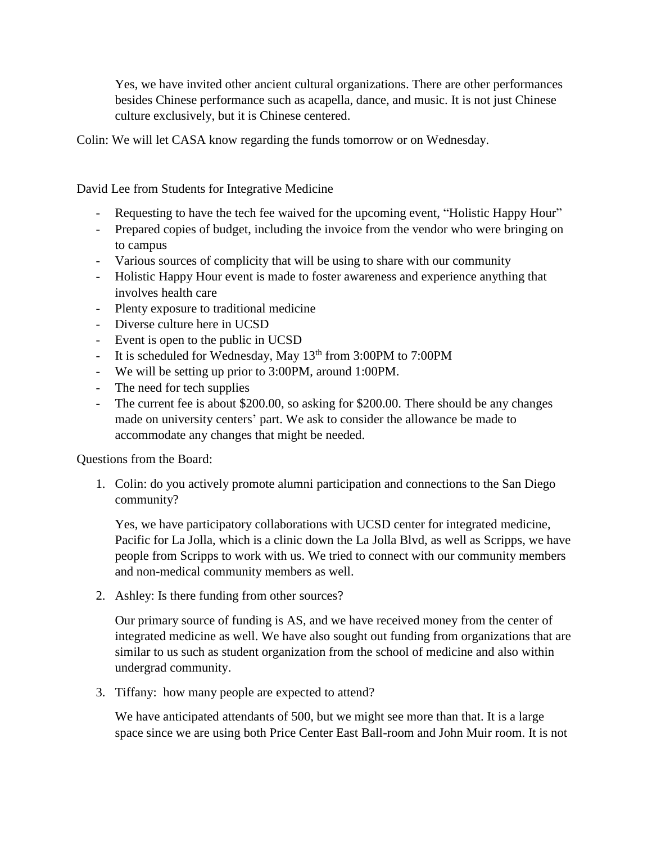Yes, we have invited other ancient cultural organizations. There are other performances besides Chinese performance such as acapella, dance, and music. It is not just Chinese culture exclusively, but it is Chinese centered.

Colin: We will let CASA know regarding the funds tomorrow or on Wednesday.

David Lee from Students for Integrative Medicine

- Requesting to have the tech fee waived for the upcoming event, "Holistic Happy Hour"
- Prepared copies of budget, including the invoice from the vendor who were bringing on to campus
- Various sources of complicity that will be using to share with our community
- Holistic Happy Hour event is made to foster awareness and experience anything that involves health care
- Plenty exposure to traditional medicine
- Diverse culture here in UCSD
- Event is open to the public in UCSD
- It is scheduled for Wednesday, May  $13<sup>th</sup>$  from 3:00PM to 7:00PM
- We will be setting up prior to 3:00PM, around 1:00PM.
- The need for tech supplies
- The current fee is about \$200.00, so asking for \$200.00. There should be any changes made on university centers' part. We ask to consider the allowance be made to accommodate any changes that might be needed.

Questions from the Board:

1. Colin: do you actively promote alumni participation and connections to the San Diego community?

Yes, we have participatory collaborations with UCSD center for integrated medicine, Pacific for La Jolla, which is a clinic down the La Jolla Blvd, as well as Scripps, we have people from Scripps to work with us. We tried to connect with our community members and non-medical community members as well.

2. Ashley: Is there funding from other sources?

Our primary source of funding is AS, and we have received money from the center of integrated medicine as well. We have also sought out funding from organizations that are similar to us such as student organization from the school of medicine and also within undergrad community.

3. Tiffany: how many people are expected to attend?

We have anticipated attendants of 500, but we might see more than that. It is a large space since we are using both Price Center East Ball-room and John Muir room. It is not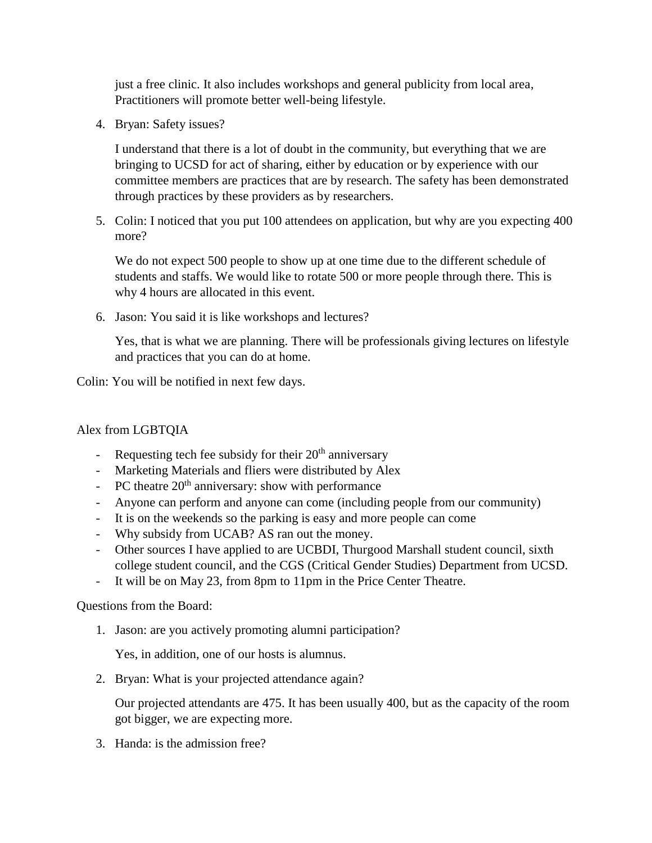just a free clinic. It also includes workshops and general publicity from local area, Practitioners will promote better well-being lifestyle.

4. Bryan: Safety issues?

I understand that there is a lot of doubt in the community, but everything that we are bringing to UCSD for act of sharing, either by education or by experience with our committee members are practices that are by research. The safety has been demonstrated through practices by these providers as by researchers.

5. Colin: I noticed that you put 100 attendees on application, but why are you expecting 400 more?

We do not expect 500 people to show up at one time due to the different schedule of students and staffs. We would like to rotate 500 or more people through there. This is why 4 hours are allocated in this event.

6. Jason: You said it is like workshops and lectures?

Yes, that is what we are planning. There will be professionals giving lectures on lifestyle and practices that you can do at home.

Colin: You will be notified in next few days.

# Alex from LGBTQIA

- Requesting tech fee subsidy for their  $20<sup>th</sup>$  anniversary
- Marketing Materials and fliers were distributed by Alex
- PC theatre  $20<sup>th</sup>$  anniversary: show with performance
- Anyone can perform and anyone can come (including people from our community)
- It is on the weekends so the parking is easy and more people can come
- Why subsidy from UCAB? AS ran out the money.
- Other sources I have applied to are UCBDI, Thurgood Marshall student council, sixth college student council, and the CGS (Critical Gender Studies) Department from UCSD.
- It will be on May 23, from 8pm to 11pm in the Price Center Theatre.

#### Questions from the Board:

1. Jason: are you actively promoting alumni participation?

Yes, in addition, one of our hosts is alumnus.

2. Bryan: What is your projected attendance again?

Our projected attendants are 475. It has been usually 400, but as the capacity of the room got bigger, we are expecting more.

3. Handa: is the admission free?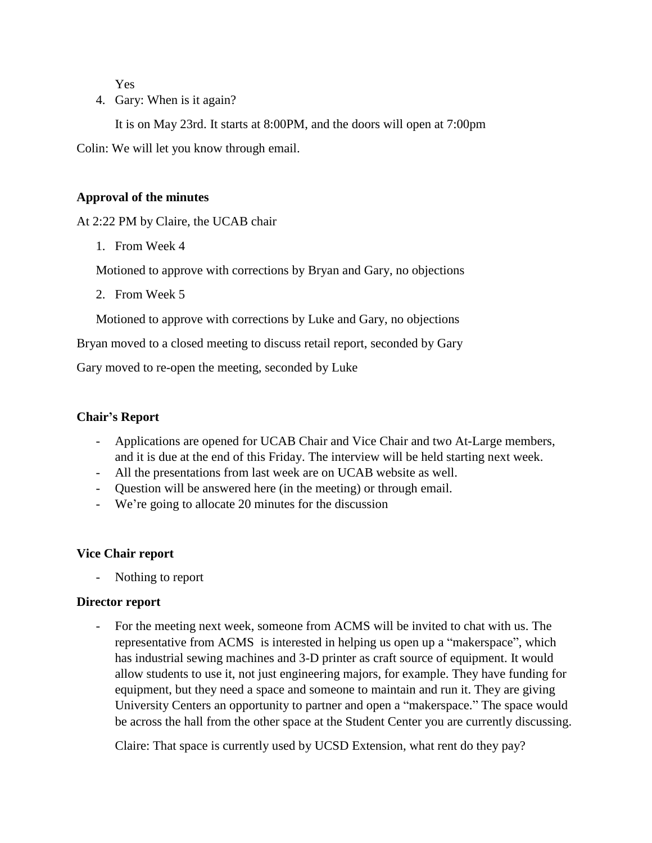Yes

4. Gary: When is it again?

It is on May 23rd. It starts at 8:00PM, and the doors will open at 7:00pm Colin: We will let you know through email.

#### **Approval of the minutes**

At 2:22 PM by Claire, the UCAB chair

1. From Week 4

Motioned to approve with corrections by Bryan and Gary, no objections

2. From Week 5

Motioned to approve with corrections by Luke and Gary, no objections

Bryan moved to a closed meeting to discuss retail report, seconded by Gary

Gary moved to re-open the meeting, seconded by Luke

## **Chair's Report**

- Applications are opened for UCAB Chair and Vice Chair and two At-Large members, and it is due at the end of this Friday. The interview will be held starting next week.
- All the presentations from last week are on UCAB website as well.
- Question will be answered here (in the meeting) or through email.
- We're going to allocate 20 minutes for the discussion

#### **Vice Chair report**

Nothing to report

#### **Director report**

- For the meeting next week, someone from ACMS will be invited to chat with us. The representative from ACMS is interested in helping us open up a "makerspace", which has industrial sewing machines and 3-D printer as craft source of equipment. It would allow students to use it, not just engineering majors, for example. They have funding for equipment, but they need a space and someone to maintain and run it. They are giving University Centers an opportunity to partner and open a "makerspace." The space would be across the hall from the other space at the Student Center you are currently discussing.

Claire: That space is currently used by UCSD Extension, what rent do they pay?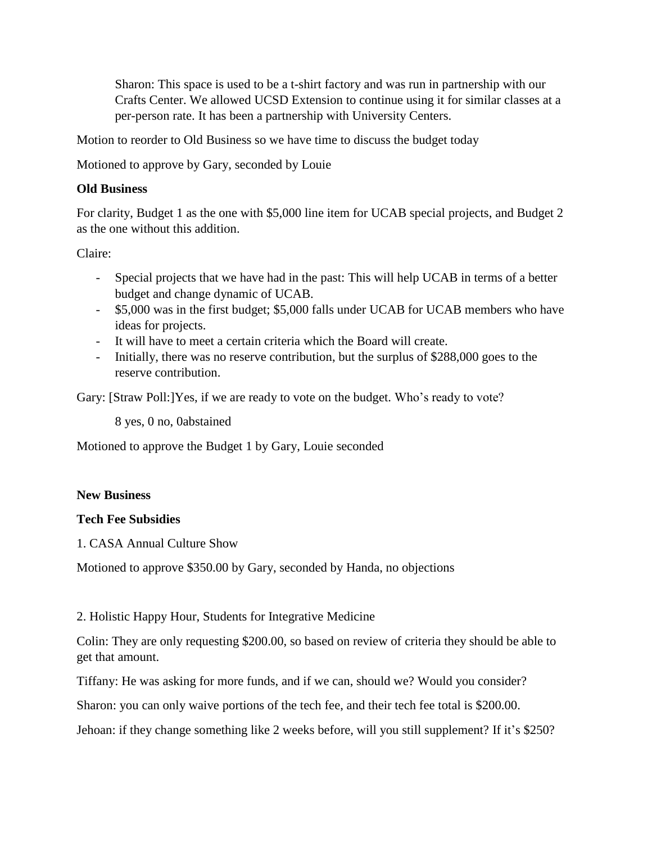Sharon: This space is used to be a t-shirt factory and was run in partnership with our Crafts Center. We allowed UCSD Extension to continue using it for similar classes at a per-person rate. It has been a partnership with University Centers.

Motion to reorder to Old Business so we have time to discuss the budget today

Motioned to approve by Gary, seconded by Louie

### **Old Business**

For clarity, Budget 1 as the one with \$5,000 line item for UCAB special projects, and Budget 2 as the one without this addition.

Claire:

- Special projects that we have had in the past: This will help UCAB in terms of a better budget and change dynamic of UCAB.
- \$5,000 was in the first budget; \$5,000 falls under UCAB for UCAB members who have ideas for projects.
- It will have to meet a certain criteria which the Board will create.
- Initially, there was no reserve contribution, but the surplus of \$288,000 goes to the reserve contribution.

Gary: [Straw Poll:]Yes, if we are ready to vote on the budget. Who's ready to vote?

8 yes, 0 no, 0abstained

Motioned to approve the Budget 1 by Gary, Louie seconded

#### **New Business**

#### **Tech Fee Subsidies**

1. CASA Annual Culture Show

Motioned to approve \$350.00 by Gary, seconded by Handa, no objections

#### 2. Holistic Happy Hour, Students for Integrative Medicine

Colin: They are only requesting \$200.00, so based on review of criteria they should be able to get that amount.

Tiffany: He was asking for more funds, and if we can, should we? Would you consider?

Sharon: you can only waive portions of the tech fee, and their tech fee total is \$200.00.

Jehoan: if they change something like 2 weeks before, will you still supplement? If it's \$250?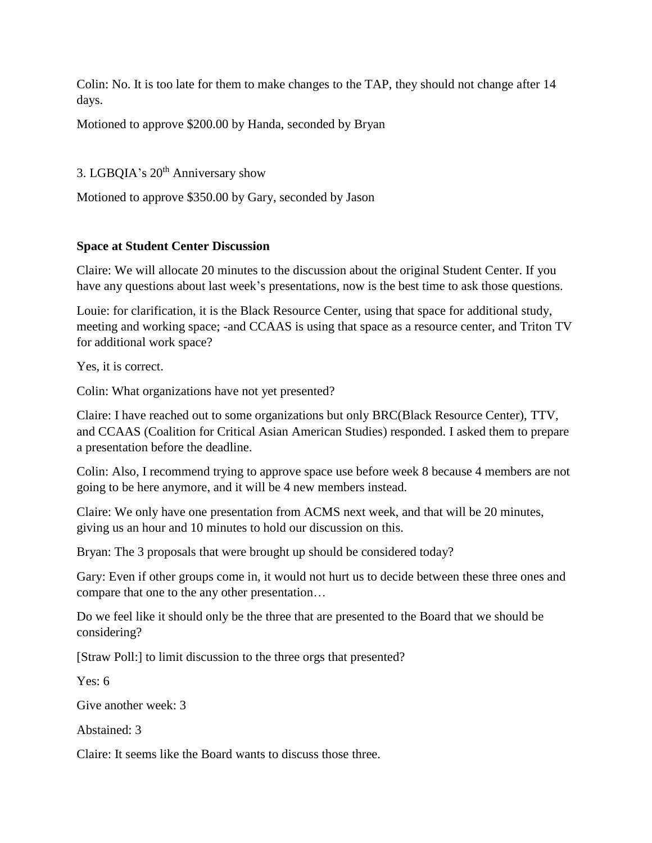Colin: No. It is too late for them to make changes to the TAP, they should not change after 14 days.

Motioned to approve \$200.00 by Handa, seconded by Bryan

3. LGBQIA's 20<sup>th</sup> Anniversary show

Motioned to approve \$350.00 by Gary, seconded by Jason

## **Space at Student Center Discussion**

Claire: We will allocate 20 minutes to the discussion about the original Student Center. If you have any questions about last week's presentations, now is the best time to ask those questions.

Louie: for clarification, it is the Black Resource Center, using that space for additional study, meeting and working space; -and CCAAS is using that space as a resource center, and Triton TV for additional work space?

Yes, it is correct.

Colin: What organizations have not yet presented?

Claire: I have reached out to some organizations but only BRC(Black Resource Center), TTV, and CCAAS (Coalition for Critical Asian American Studies) responded. I asked them to prepare a presentation before the deadline.

Colin: Also, I recommend trying to approve space use before week 8 because 4 members are not going to be here anymore, and it will be 4 new members instead.

Claire: We only have one presentation from ACMS next week, and that will be 20 minutes, giving us an hour and 10 minutes to hold our discussion on this.

Bryan: The 3 proposals that were brought up should be considered today?

Gary: Even if other groups come in, it would not hurt us to decide between these three ones and compare that one to the any other presentation…

Do we feel like it should only be the three that are presented to the Board that we should be considering?

[Straw Poll:] to limit discussion to the three orgs that presented?

Yes: 6

Give another week: 3

Abstained: 3

Claire: It seems like the Board wants to discuss those three.